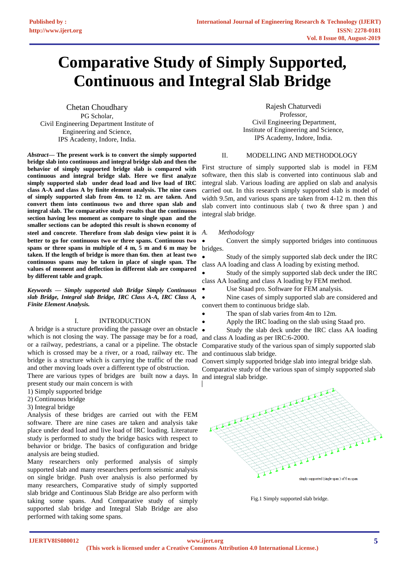# **Comparative Study of Simply Supported, Continuous and Integral Slab Bridge**

Chetan Choudhary PG Scholar, Civil Engineering Department Institute of Engineering and Science, IPS Academy, Indore, India.

*Abstract***— The present work is to convert the simply supported bridge slab into continuous and integral bridge slab and then the behavior of simply supported bridge slab is compared with continuous and integral bridge slab. Here we first analyze simply supported slab under dead load and live load of IRC class A-A and class A by finite element analysis. The nine cases of simply supported slab from 4m. to 12 m. are taken. And convert them into continuous two and three span slab and integral slab. The comparative study results that the continuous section having less moment as compare to single span and the smaller sections can be adopted this result is shown economy of steel and concrete**. **Therefore from slab design view point it is better to go for continuous two or three spans. Continuous two spans or three spans in multiple of 4 m, 5 m and 6 m may be taken. If the length of bridge is more than 6m. then at least two continuous spans may be taken in place of single span. The values of moment and deflection in different slab are compared by different table and graph.**

*Keywords — Simply supported slab Bridge Simply Continuous slab Bridge, Integral slab Bridge, IRC Class A-A, IRC Class A, Finite Element Analysis.*

## I. INTRODUCTION

A bridge is a structure providing the passage over an obstacle which is not closing the way. The passage may be for a road, or a railway, pedestrians, a canal or a pipeline. The obstacle which is crossed may be a river, or a road, railway etc. The bridge is a structure which is carrying the traffic of the road and other moving loads over a different type of obstruction.

There are various types of bridges are built now a days. In and integral slab bridge. present study our main concern is with

- 1) Simply supported bridge
- 2) Continuous bridge
- 3) Integral bridge

Analysis of these bridges are carried out with the FEM software. There are nine cases are taken and analysis take place under dead load and live load of IRC loading. Literature study is performed to study the bridge basics with respect to behavior or bridge. The basics of configuration and bridge analysis are being studied.

Many researchers only performed analysis of simply supported slab and many researchers perform seismic analysis on single bridge. Push over analysis is also performed by many researchers, Comparative study of simply supported slab bridge and Continuous Slab Bridge are also perform with taking some spans. And Comparative study of simply supported slab bridge and Integral Slab Bridge are also performed with taking some spans.

Rajesh Chaturvedi Professor, Civil Engineering Department, Institute of Engineering and Science, IPS Academy, Indore, India.

## II. MODELLING AND METHODOLOGY

First structure of simply supported slab is model in FEM software, then this slab is converted into continuous slab and integral slab. Various loading are applied on slab and analysis carried out. In this research simply supported slab is model of width 9.5m, and various spans are taken from 4-12 m. then this slab convert into continuous slab ( two & three span ) and integral slab bridge*.*

#### *A. Methodology*

• Convert the simply supported bridges into continuous bridges.

Study of the simply supported slab deck under the IRC class AA loading and class A loading by existing method.

Study of the simply supported slab deck under the IRC class AA loading and class A loading by FEM method.

Use Staad pro. Software for FEM analysis.

Nine cases of simply supported slab are considered and convert them to continuous bridge slab.

The span of slab varies from 4m to 12m.

• Apply the IRC loading on the slab using Staad pro.

• Study the slab deck under the IRC class AA loading and class A loading as per IRC:6-2000.

Comparative study of the various span of simply supported slab and continuous slab bridge.

Convert simply supported bridge slab into integral bridge slab. Comparative study of the various span of simply supported slab



Fig.1 Simply supported slab bridge.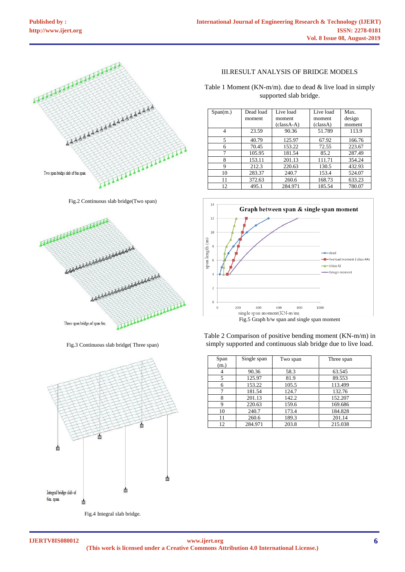

Fig.2 Continuous slab bridge(Two span)



Fig.3 Continuous slab bridge( Three span)



Fig.4 Integral slab bridge.

III.RESULT ANALYSIS OF BRIDGE MODELS

Table 1 Moment (KN-m/m). due to dead  $&$  live load in simply supported slab bridge.

| Span(m.) | Dead load | Live load   | Live load | Max    |
|----------|-----------|-------------|-----------|--------|
|          | moment    | moment      | moment    | design |
|          |           | $classA-A)$ | (classA)  | moment |
| 4        | 23.59     | 90.36       | 51.789    | 113.9  |
| 5        | 40.79     | 125.97      | 67.92     | 166.76 |
| 6        | 70.45     | 153.22      | 72.55     | 223.67 |
|          | 105.95    | 181.54      | 85.2      | 287.49 |
| 8        | 153.11    | 201.13      | 111.71    | 354.24 |
| 9        | 212.3     | 220.63      | 130.5     | 432.93 |
| 10       | 283.37    | 240.7       | 153.4     | 524.07 |
| 11       | 372.63    | 260.6       | 168.73    | 633.23 |
| 12       | 495.1     | 284.971     | 185.54    | 780.07 |



Table 2 Comparison of positive bending moment (KN-m/m) in simply supported and continuous slab bridge due to live load.

| Span<br>(m.) | Single span | Two span | Three span |
|--------------|-------------|----------|------------|
|              | 90.36       | 58.3     | 63.545     |
| 5            | 125.97      | 81.9     | 89.553     |
| 6            | 153.22      | 105.5    | 113.499    |
|              | 181.54      | 124.7    | 132.76     |
|              | 201.13      | 142.2    | 152.207    |
| 9            | 220.63      | 159.6    | 169.686    |
| 10           | 240.7       | 173.4    | 184.828    |
| 11           | 260.6       | 189.3    | 201.14     |
| 12           | 284.971     | 203.8    | 215.038    |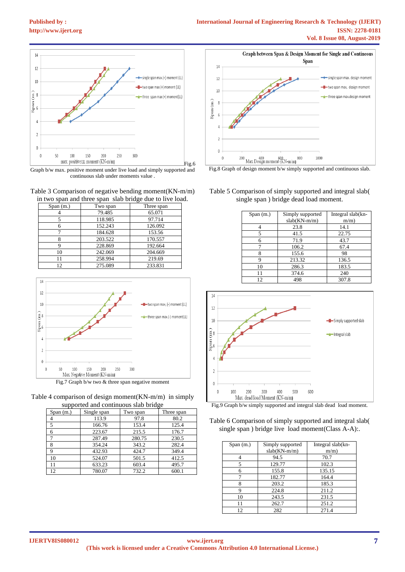



Graph b/w max. positive moment under live load and simply supported and continuous slab under moments value .

Table 3 Comparison of negative bending moment(KN-m/m) in two span and three span slab bridge due to live load.

| Span(m.) | Two span | Three span |
|----------|----------|------------|
|          | 79.485   | 65.071     |
|          | 118.985  | 97.714     |
|          | 152.243  | 126.092    |
|          | 184.628  | 153.56     |
|          | 203.522  | 170.557    |
|          | 228.869  | 192.664    |
| 10       | 242.069  | 204.669    |
|          | 258.994  | 219.69     |
| 12       | 275.089  | 233.831    |



| Table 4 comparison of design moment $(KN-m/m)$ in simply |  |
|----------------------------------------------------------|--|
| supported and continuous slab bridge                     |  |

| Span(m.)      | Single span | Two span | Three span |
|---------------|-------------|----------|------------|
|               | 113.9       | 97.8     | 80.2       |
| 5             | 166.76      | 153.4    | 125.4      |
| 6             | 223.67      | 215.5    | 176.7      |
| $\mathcal{I}$ | 287.49      | 280.75   | 230.5      |
| 8             | 354.24      | 343.2    | 282.4      |
| Q             | 432.93      | 424.7    | 349.4      |
| 10            | 524.07      | 501.5    | 412.5      |
|               | 633.23      | 603.4    | 495.7      |
| 12            | 780.07      | 732.2    | 600.1      |



Fig.8 Graph of design moment b/w simply supported and continuous slab.

Table 5 Comparison of simply supported and integral slab( single span ) bridge dead load moment.

| Span(m.) | Simply supported<br>$slab(KN-m/m)$ | Integral slab(kn-<br>$m/m$ ) |
|----------|------------------------------------|------------------------------|
|          | 23.8                               | 14.1                         |
|          | 41.5                               | 22.75                        |
| 6        | 71.9                               | 43.7                         |
|          | 106.2                              | 67.4                         |
| 8        | 155.6                              | 98                           |
| g        | 213.32                             | 136.5                        |
| 10       | 286.3                              | 183.5                        |
| 11       | 374.6                              | 240                          |
| 12.      | 498                                | 307.8                        |



Fig.9 Graph b/w simply supported and integral slab dead load moment.

Table 6 Comparison of simply supported and integral slab( single span ) bridge live load moment (Class A-A):.

| Span(m.) | Simply supported | Integral slab(kn- |
|----------|------------------|-------------------|
|          | $slab(KN-m/m)$   | $m/m$ )           |
|          | 94.5             | 70.7              |
| 5        | 129.77           | 102.3             |
| 6        | 155.8            | 135.15            |
|          | 182.77           | 164.4             |
| 8        | 203.2            | 185.3             |
| 9        | 224.8            | 211.2             |
| 10       | 243.5            | 231.5             |
| 11       | 262.7            | 251.2             |
| 12       | 282              | 271.4             |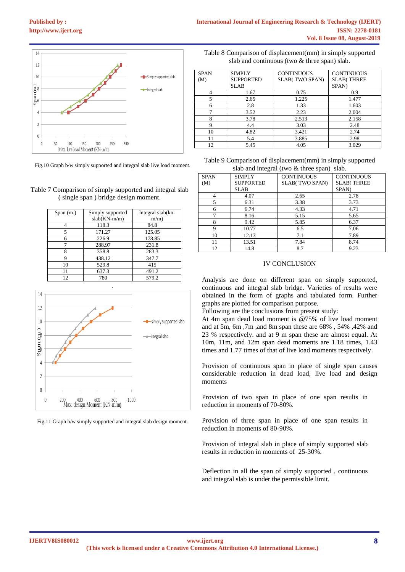

Fig.10 Graph b/w simply supported and integral slab live load moment.

| Table 7 Comparison of simply supported and integral slab |
|----------------------------------------------------------|
| (single span) bridge design moment.                      |

| Span(m.) | Simply supported<br>$slab(KN-m/m)$ | Integral slab(kn-<br>$m/m$ ) |
|----------|------------------------------------|------------------------------|
|          | 118.3                              | 84.8                         |
| 5        | 171.27                             | 125.05                       |
| 6        | 226.9                              | 178.85                       |
|          | 288.97                             | 231.8                        |
|          | 358.8                              | 283.3                        |
| q        | 438.12                             | 347.7                        |
| 10       | 529.8                              | 415                          |
| 11       | 637.3                              | 491.2                        |
| 12       | 780                                | 579.2                        |



Fig.11 Graph b/w simply supported and integral slab design moment.

Table 8 Comparison of displacement(mm) in simply supported slab and continuous (two & three span) slab.

| <b>SPAN</b> | <b>SIMPLY</b>    | <b>CONTINUOUS</b>     | <b>CONTINUOUS</b> |
|-------------|------------------|-----------------------|-------------------|
| (M)         | <b>SUPPORTED</b> | <b>SLAB(TWO SPAN)</b> | <b>SLAB(THREE</b> |
|             | SLAB             |                       | SPAN)             |
| 4           | 1.67             | 0.75                  | 0.9               |
| 5           | 2.65             | 1.225                 | 1.477             |
| 6           | 2.8              | 1.33                  | 1.603             |
|             | 3.52             | 2.23                  | 2.004             |
| 8           | 3.78             | 2.513                 | 2.158             |
| 9           | 4.4              | 3.03                  | 2.48              |
| 10          | 4.82             | 3.421                 | 2.74              |
| 11          | 5.4              | 3.885                 | 2.98              |
| 12          | 5.45             | 4.05                  | 3.029             |

| Table 9 Comparison of displacement (mm) in simply supported |
|-------------------------------------------------------------|
| slab and integral (two $&$ three span) slab.                |

| <b>SPAN</b> | <b>SIMPLY</b>    | <b>CONTINUOUS</b>     | <b>CONTINUOUS</b> |
|-------------|------------------|-----------------------|-------------------|
| (M)         | <b>SUPPORTED</b> | <b>SLAB(TWO SPAN)</b> | <b>SLAB(THREE</b> |
|             | <b>SLAB</b>      |                       | SPAN)             |
| 4           | 4.07             | 2.65                  | 2.78              |
| 5           | 6.31             | 3.38                  | 3.73              |
| 6           | 6.74             | 4.33                  | 4.71              |
| 7           | 8.16             | 5.15                  | 5.65              |
| 8           | 9.42             | 5.85                  | 6.37              |
| 9           | 10.77            | 6.5                   | 7.06              |
| 10          | 12.13            | 7.1                   | 7.89              |
| 11          | 13.51            | 7.84                  | 8.74              |
| 12          | 14.8             | 8.7                   | 9.23              |

# IV CONCLUSION

Analysis are done on different span on simply supported, continuous and integral slab bridge. Varieties of results were obtained in the form of graphs and tabulated form. Further graphs are plotted for comparison purpose.

Following are the conclusions from present study:

At 4m span dead load moment is @75% of live load moment and at 5m, 6m ,7m ,and 8m span these are 68% , 54% ,42% and 23 % respectively. and at 9 m span these are almost equal. At 10m, 11m, and 12m span dead moments are 1.18 times, 1.43 times and 1.77 times of that of live load moments respectively.

Provision of continuous span in place of single span causes considerable reduction in dead load, live load and design moments

Provision of two span in place of one span results in reduction in moments of 70-80%.

Provision of three span in place of one span results in reduction in moments of 80-90%.

Provision of integral slab in place of simply supported slab results in reduction in moments of 25-30%.

Deflection in all the span of simply supported , continuous and integral slab is under the permissible limit.